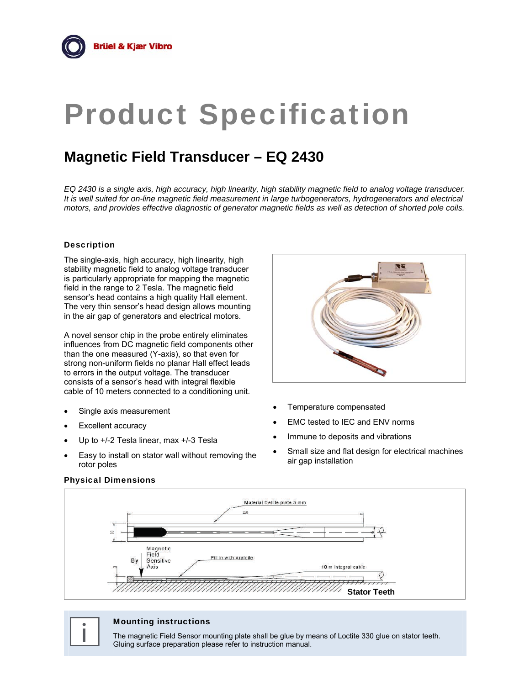# Product Specification

# **Magnetic Field Transducer – EQ 2430**

*EQ 2430 is a single axis, high accuracy, high linearity, high stability magnetic field to analog voltage transducer. It is well suited for on-line magnetic field measurement in large turbogenerators, hydrogenerators and electrical motors, and provides effective diagnostic of generator magnetic fields as well as detection of shorted pole coils.* 

# Description

The single-axis, high accuracy, high linearity, high stability magnetic field to analog voltage transducer is particularly appropriate for mapping the magnetic field in the range to 2 Tesla. The magnetic field sensor's head contains a high quality Hall element. The very thin sensor's head design allows mounting in the air gap of generators and electrical motors.

A novel sensor chip in the probe entirely eliminates influences from DC magnetic field components other than the one measured (Y-axis), so that even for strong non-uniform fields no planar Hall effect leads to errors in the output voltage. The transducer consists of a sensor's head with integral flexible cable of 10 meters connected to a conditioning unit.

- Single axis measurement
- Excellent accuracy
- Up to +/-2 Tesla linear, max +/-3 Tesla
- Easy to install on stator wall without removing the rotor poles



- Temperature compensated
- EMC tested to IEC and ENV norms
- Immune to deposits and vibrations
- Small size and flat design for electrical machines air gap installation



# Physical Dimensions

**i** Mounting instructions<br>The magnetic Field Sensor mo<br>Gluing surface preparation plea The magnetic Field Sensor mounting plate shall be glue by means of Loctite 330 glue on stator teeth. Gluing surface preparation please refer to instruction manual.